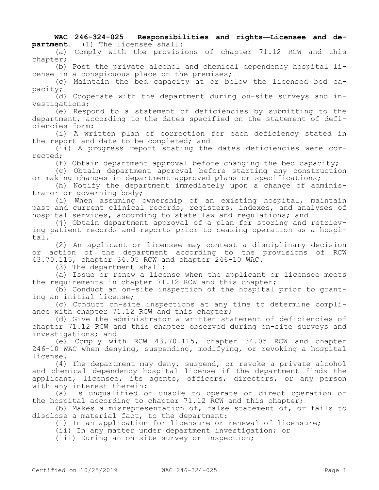**WAC 246-324-025 Responsibilities and rights—Licensee and department.** (1) The licensee shall:

(a) Comply with the provisions of chapter 71.12 RCW and this chapter;

(b) Post the private alcohol and chemical dependency hospital license in a conspicuous place on the premises;

(c) Maintain the bed capacity at or below the licensed bed capacity;

(d) Cooperate with the department during on-site surveys and investigations;

(e) Respond to a statement of deficiencies by submitting to the department, according to the dates specified on the statement of deficiencies form:

(i) A written plan of correction for each deficiency stated in the report and date to be completed; and

(ii) A progress report stating the dates deficiencies were corrected;

(f) Obtain department approval before changing the bed capacity;

(g) Obtain department approval before starting any construction or making changes in department-approved plans or specifications;

(h) Notify the department immediately upon a change of administrator or governing body;

(i) When assuming ownership of an existing hospital, maintain past and current clinical records, registers, indexes, and analyses of hospital services, according to state law and regulations; and

(j) Obtain department approval of a plan for storing and retrieving patient records and reports prior to ceasing operation as a hospital.

(2) An applicant or licensee may contest a disciplinary decision or action of the department according to the provisions of RCW 43.70.115, chapter 34.05 RCW and chapter 246-10 WAC.

(3) The department shall:

(a) Issue or renew a license when the applicant or licensee meets the requirements in chapter 71.12 RCW and this chapter;

(b) Conduct an on-site inspection of the hospital prior to granting an initial license;

(c) Conduct on-site inspections at any time to determine compliance with chapter 71.12 RCW and this chapter;

(d) Give the administrator a written statement of deficiencies of chapter 71.12 RCW and this chapter observed during on-site surveys and investigations; and

(e) Comply with RCW 43.70.115, chapter 34.05 RCW and chapter 246-10 WAC when denying, suspending, modifying, or revoking a hospital license.

(4) The department may deny, suspend, or revoke a private alcohol and chemical dependency hospital license if the department finds the applicant, licensee, its agents, officers, directors, or any person with any interest therein:

(a) Is unqualified or unable to operate or direct operation of the hospital according to chapter 71.12 RCW and this chapter;

(b) Makes a misrepresentation of, false statement of, or fails to disclose a material fact, to the department:

(i) In an application for licensure or renewal of licensure;

(ii) In any matter under department investigation; or

(iii) During an on-site survey or inspection;